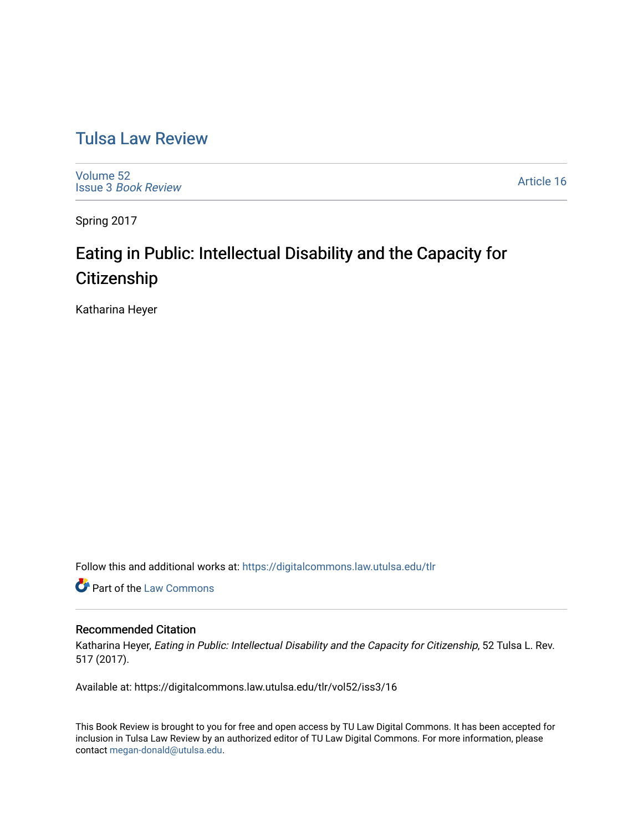## [Tulsa Law Review](https://digitalcommons.law.utulsa.edu/tlr)

[Volume 52](https://digitalcommons.law.utulsa.edu/tlr/vol52) Issue 3 [Book Review](https://digitalcommons.law.utulsa.edu/tlr/vol52/iss3)

[Article 16](https://digitalcommons.law.utulsa.edu/tlr/vol52/iss3/16) 

Spring 2017

# Eating in Public: Intellectual Disability and the Capacity for **Citizenship**

Katharina Heyer

Follow this and additional works at: [https://digitalcommons.law.utulsa.edu/tlr](https://digitalcommons.law.utulsa.edu/tlr?utm_source=digitalcommons.law.utulsa.edu%2Ftlr%2Fvol52%2Fiss3%2F16&utm_medium=PDF&utm_campaign=PDFCoverPages) 

Part of the [Law Commons](http://network.bepress.com/hgg/discipline/578?utm_source=digitalcommons.law.utulsa.edu%2Ftlr%2Fvol52%2Fiss3%2F16&utm_medium=PDF&utm_campaign=PDFCoverPages)

#### Recommended Citation

Katharina Heyer, Eating in Public: Intellectual Disability and the Capacity for Citizenship, 52 Tulsa L. Rev. 517 (2017).

Available at: https://digitalcommons.law.utulsa.edu/tlr/vol52/iss3/16

This Book Review is brought to you for free and open access by TU Law Digital Commons. It has been accepted for inclusion in Tulsa Law Review by an authorized editor of TU Law Digital Commons. For more information, please contact [megan-donald@utulsa.edu.](mailto:megan-donald@utulsa.edu)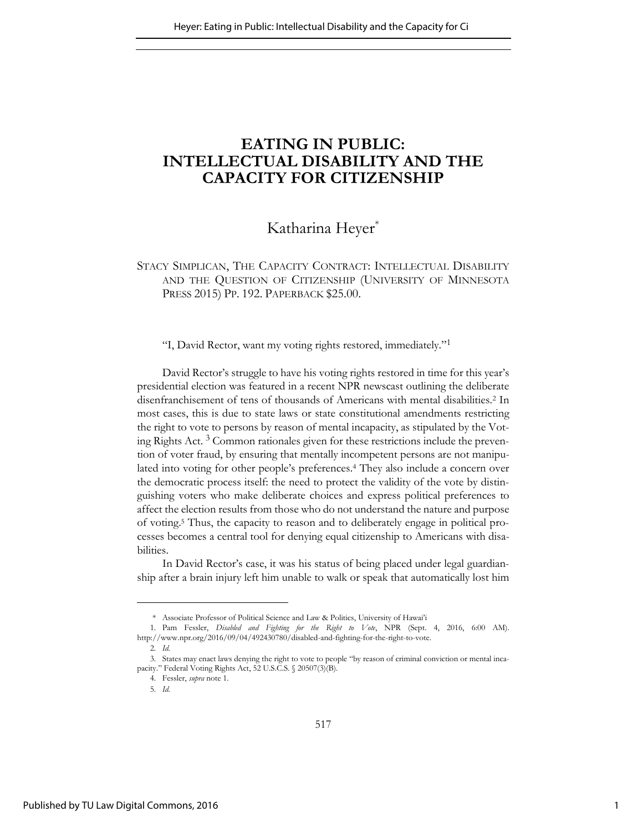### **EATING IN PUBLIC: INTELLECTUAL DISABILITY AND THE CAPACITY FOR CITIZENSHIP**

### Katharina Heyer<sup>\*</sup>

### STACY SIMPLICAN, THE CAPACITY CONTRACT: INTELLECTUAL DISABILITY AND THE QUESTION OF CITIZENSHIP (UNIVERSITY OF MINNESOTA PRESS 2015) PP. 192. PAPERBACK \$25.00.

"I, David Rector, want my voting rights restored, immediately."<sup>1</sup>

David Rector's struggle to have his voting rights restored in time for this year's presidential election was featured in a recent NPR newscast outlining the deliberate disenfranchisement of tens of thousands of Americans with mental disabilities.<sup>2</sup> In most cases, this is due to state laws or state constitutional amendments restricting the right to vote to persons by reason of mental incapacity, as stipulated by the Voting Rights Act. <sup>3</sup> Common rationales given for these restrictions include the prevention of voter fraud, by ensuring that mentally incompetent persons are not manipulated into voting for other people's preferences.<sup>4</sup> They also include a concern over the democratic process itself: the need to protect the validity of the vote by distinguishing voters who make deliberate choices and express political preferences to affect the election results from those who do not understand the nature and purpose of voting.<sup>5</sup> Thus, the capacity to reason and to deliberately engage in political processes becomes a central tool for denying equal citizenship to Americans with disabilities.

In David Rector's case, it was his status of being placed under legal guardianship after a brain injury left him unable to walk or speak that automatically lost him

<sup>\*</sup> Associate Professor of Political Science and Law & Politics, University of Hawai'i

<sup>1.</sup> Pam Fessler, *Disabled and Fighting for the Right to Vote*, NPR (Sept. 4, 2016, 6:00 AM). [http://www.npr.org/2016/09/04/492430780/disabled-and-fighting-for-the-right-to-vote.](http://www.npr.org/2016/09/04/492430780/disabled-and-fighting-for-the-right-to-vote) 

<sup>2.</sup> *Id.*

<sup>3.</sup> States may enact laws denying the right to vote to people "by reason of criminal conviction or mental incapacity." Federal Voting Rights Act, 52 U.S.C.S. [§ 20507\(3\)\(B\).](http://www.law.cornell.edu/uscode/text/42/1973gg-6) 

<sup>4.</sup> Fessler, *supra* note 1.

<sup>5.</sup> *Id.*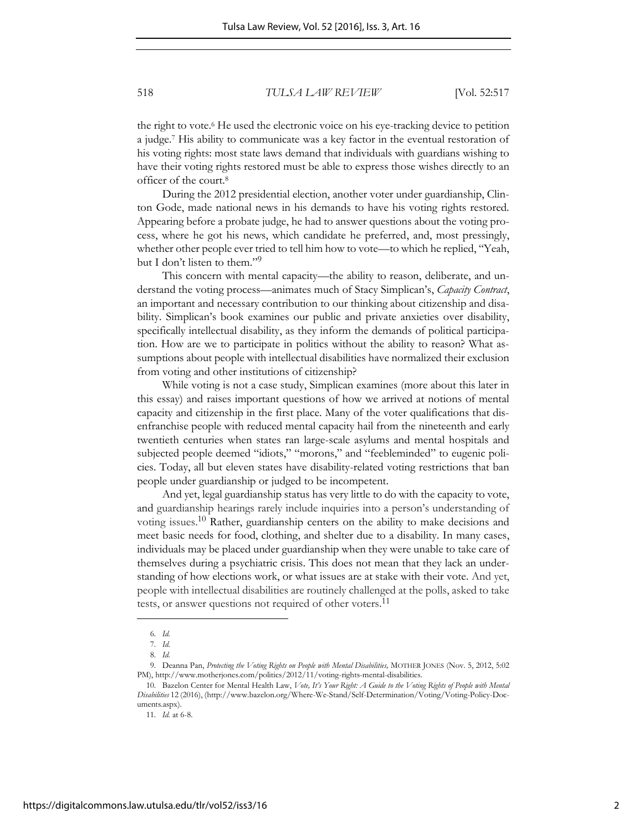518 *TULSA LAW REVIEW* [Vol. 52:517

the right to vote.<sup>6</sup> He used the electronic voice on his eye-tracking device to petition a judge.<sup>7</sup> His ability to communicate was a key factor in the eventual restoration of his voting rights: most state laws demand that individuals with guardians wishing to have their voting rights restored must be able to express those wishes directly to an officer of the court.<sup>8</sup>

During the 2012 presidential election, another voter under guardianship, Clinton Gode, made national news in his demands to have his voting rights restored. Appearing before a probate judge, he had to answer questions about the voting process, where he got his news, which candidate he preferred, and, most pressingly, whether other people ever tried to tell him how to vote—to which he replied, "Yeah, but I don't listen to them."<sup>9</sup>

This concern with mental capacity—the ability to reason, deliberate, and understand the voting process—animates much of Stacy Simplican's, *Capacity Contract*, an important and necessary contribution to our thinking about citizenship and disability. Simplican's book examines our public and private anxieties over disability, specifically intellectual disability, as they inform the demands of political participation. How are we to participate in politics without the ability to reason? What assumptions about people with intellectual disabilities have normalized their exclusion from voting and other institutions of citizenship?

While voting is not a case study, Simplican examines (more about this later in this essay) and raises important questions of how we arrived at notions of mental capacity and citizenship in the first place. Many of the voter qualifications that disenfranchise people with reduced mental capacity hail from the nineteenth and early twentieth centuries when states ran large-scale asylums and mental hospitals and subjected people deemed "idiots," "morons," and "feebleminded" to eugenic policies. Today, all but eleven states have disability-related voting restrictions that ban people under guardianship or judged to be incompetent.

And yet, legal guardianship status has very little to do with the capacity to vote, and guardianship hearings rarely include inquiries into a person's understanding of voting issues.<sup>10</sup> Rather, guardianship centers on the ability to make decisions and meet basic needs for food, clothing, and shelter due to a disability. In many cases, individuals may be placed under guardianship when they were unable to take care of themselves during a psychiatric crisis. This does not mean that they lack an understanding of how elections work, or what issues are at stake with their vote. And yet, people with intellectual disabilities are routinely challenged at the polls, asked to take tests, or answer questions not required of other voters.<sup>11</sup>

<sup>6.</sup> *Id.*

<sup>7.</sup> *Id.*

<sup>8.</sup> *Id.*

<sup>9.</sup> Deanna Pan, *Protecting the Voting Rights on People with Mental Disabilities,* MOTHER JONES (Nov. 5, 2012, 5:02 PM), http://www.motherjones.com/politics/2012/11/voting-rights-mental-disabilities.

<sup>10.</sup> Bazelon Center for Mental Health Law, *Vote, It's Your Right: A Guide to the Voting Rights of People with Mental Disabilities* 12 (2016), (http://www.bazelon.org/Where-We-Stand/Self-Determination/Voting/Voting-Policy-Documents.aspx).

<sup>11.</sup> *Id.* at 6-8.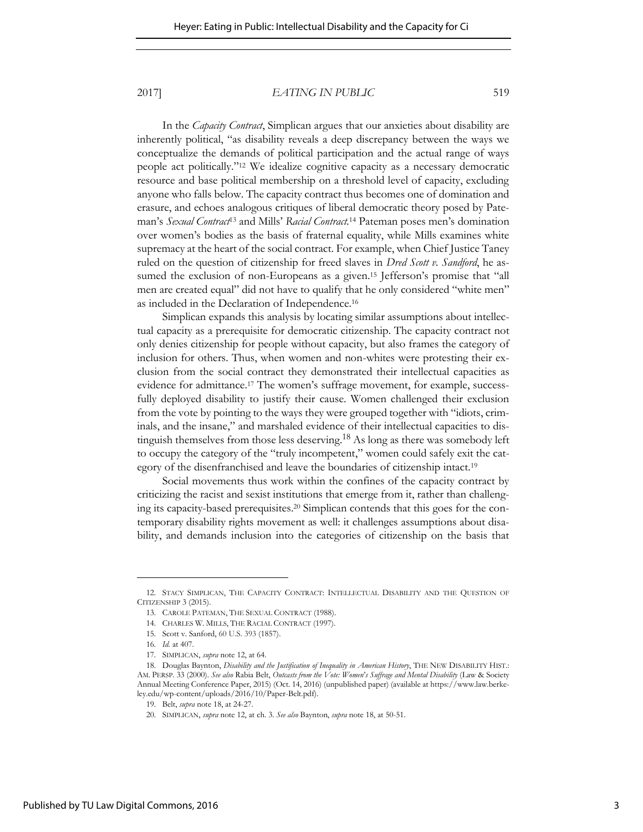#### 2017] *EATING IN PUBLIC* 519

In the *Capacity Contract*, Simplican argues that our anxieties about disability are inherently political, "as disability reveals a deep discrepancy between the ways we conceptualize the demands of political participation and the actual range of ways people act politically."12 We idealize cognitive capacity as a necessary democratic resource and base political membership on a threshold level of capacity, excluding anyone who falls below. The capacity contract thus becomes one of domination and erasure, and echoes analogous critiques of liberal democratic theory posed by Pateman's *Sexual Contract*<sup>13</sup> and Mills' *Racial Contract.*<sup>14</sup> Pateman poses men's domination over women's bodies as the basis of fraternal equality, while Mills examines white supremacy at the heart of the social contract. For example, when Chief Justice Taney ruled on the question of citizenship for freed slaves in *Dred Scott v. Sandford*, he assumed the exclusion of non-Europeans as a given.<sup>15</sup> Jefferson's promise that "all men are created equal" did not have to qualify that he only considered "white men" as included in the Declaration of Independence.<sup>16</sup>

Simplican expands this analysis by locating similar assumptions about intellectual capacity as a prerequisite for democratic citizenship. The capacity contract not only denies citizenship for people without capacity, but also frames the category of inclusion for others. Thus, when women and non-whites were protesting their exclusion from the social contract they demonstrated their intellectual capacities as evidence for admittance.<sup>17</sup> The women's suffrage movement, for example, successfully deployed disability to justify their cause. Women challenged their exclusion from the vote by pointing to the ways they were grouped together with "idiots, criminals, and the insane," and marshaled evidence of their intellectual capacities to distinguish themselves from those less deserving.<sup>18</sup> As long as there was somebody left to occupy the category of the "truly incompetent," women could safely exit the category of the disenfranchised and leave the boundaries of citizenship intact.<sup>19</sup>

Social movements thus work within the confines of the capacity contract by criticizing the racist and sexist institutions that emerge from it, rather than challenging its capacity-based prerequisites.<sup>20</sup> Simplican contends that this goes for the contemporary disability rights movement as well: it challenges assumptions about disability, and demands inclusion into the categories of citizenship on the basis that

<sup>12.</sup> STACY SIMPLICAN, THE CAPACITY CONTRACT: INTELLECTUAL DISABILITY AND THE QUESTION OF CITIZENSHIP 3 (2015).

<sup>13.</sup> CAROLE PATEMAN, THE SEXUAL CONTRACT (1988).

<sup>14.</sup> CHARLES W. MILLS, THE RACIAL CONTRACT (1997).

<sup>15.</sup> Scott v. Sanford, 60 U.S. 393 (1857).

<sup>16.</sup> *Id.* at 407.

<sup>17.</sup> SIMPLICAN, *supra* note 12, at 64.

<sup>18.</sup> Douglas Baynton, *Disability and the Justification of Inequality in American History*, THE NEW DISABILITY HIST.: AM. PERSP. 33 (2000). *See also* Rabia Belt, *Outcasts from the Vote: Women*'*s Suffrage and Mental Disability* (Law & Society Annual Meeting Conference Paper, 2015) (Oct. 14, 2016) (unpublished paper) (available at https://www.law.berkeley.edu/wp-content/uploads/2016/10/Paper-Belt.pdf).

<sup>19.</sup> Belt, *supra* note 18, at 24-27.

<sup>20.</sup> SIMPLICAN, *supra* note 12, at ch. 3. *See also* Baynton, *supra* note 18, at 50-51.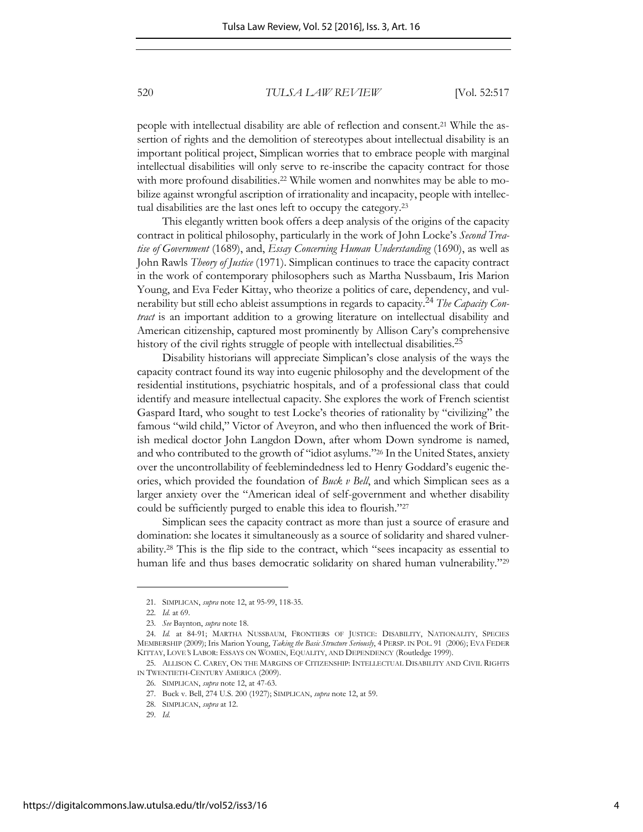520 *TULSA LAW REVIEW* [Vol. 52:517

people with intellectual disability are able of reflection and consent.21 While the assertion of rights and the demolition of stereotypes about intellectual disability is an important political project, Simplican worries that to embrace people with marginal intellectual disabilities will only serve to re-inscribe the capacity contract for those with more profound disabilities.<sup>22</sup> While women and nonwhites may be able to mobilize against wrongful ascription of irrationality and incapacity, people with intellectual disabilities are the last ones left to occupy the category.<sup>23</sup>

This elegantly written book offers a deep analysis of the origins of the capacity contract in political philosophy, particularly in the work of John Locke's *Second Treatise of Government* (1689), and, *Essay Concerning Human Understanding* (1690), as well as John Rawls *Theory of Justice* (1971). Simplican continues to trace the capacity contract in the work of contemporary philosophers such as Martha Nussbaum, Iris Marion Young, and Eva Feder Kittay, who theorize a politics of care, dependency, and vulnerability but still echo ableist assumptions in regards to capacity.<sup>24</sup> *The Capacity Contract* is an important addition to a growing literature on intellectual disability and American citizenship, captured most prominently by Allison Cary's comprehensive history of the civil rights struggle of people with intellectual disabilities.<sup>25</sup>

Disability historians will appreciate Simplican's close analysis of the ways the capacity contract found its way into eugenic philosophy and the development of the residential institutions, psychiatric hospitals, and of a professional class that could identify and measure intellectual capacity. She explores the work of French scientist Gaspard Itard, who sought to test Locke's theories of rationality by "civilizing" the famous "wild child," Victor of Aveyron, and who then influenced the work of British medical doctor John Langdon Down, after whom Down syndrome is named, and who contributed to the growth of "idiot asylums."26 In the United States, anxiety over the uncontrollability of feeblemindedness led to Henry Goddard's eugenic theories, which provided the foundation of *Buck v Bell*, and which Simplican sees as a larger anxiety over the "American ideal of self-government and whether disability could be sufficiently purged to enable this idea to flourish."<sup>27</sup>

Simplican sees the capacity contract as more than just a source of erasure and domination: she locates it simultaneously as a source of solidarity and shared vulnerability.28 This is the flip side to the contract, which "sees incapacity as essential to human life and thus bases democratic solidarity on shared human vulnerability."<sup>29</sup>

<sup>21.</sup> SIMPLICAN, *supra* note 12, at 95-99, 118-35.

<sup>22.</sup> *Id.* at 69.

<sup>23.</sup> *See* Baynton, *supra* note 18.

<sup>24.</sup> *Id.* at 84-91; MARTHA NUSSBAUM, FRONTIERS OF JUSTICE: DISABILITY, NATIONALITY, SPECIES MEMBERSHIP (2009); Iris Marion Young, *Taking the Basic Structure Seriously*, 4 PERSP. IN POL. 91 (2006); EVA FEDER KITTAY, LOVE*'*S LABOR: ESSAYS ON WOMEN, EQUALITY, AND DEPENDENCY (Routledge 1999).

<sup>25.</sup> ALLISON C. CAREY, ON THE MARGINS OF CITIZENSHIP: INTELLECTUAL DISABILITY AND CIVIL RIGHTS IN TWENTIETH-CENTURY AMERICA (2009).

<sup>26.</sup> SIMPLICAN, *supra* note 12, at 47-63.

<sup>27.</sup> Buck v. Bell, 274 U.S. 200 (1927); SIMPLICAN, *supra* note 12, at 59.

<sup>28.</sup> SIMPLICAN, *supra* at 12.

<sup>29.</sup> *Id*.